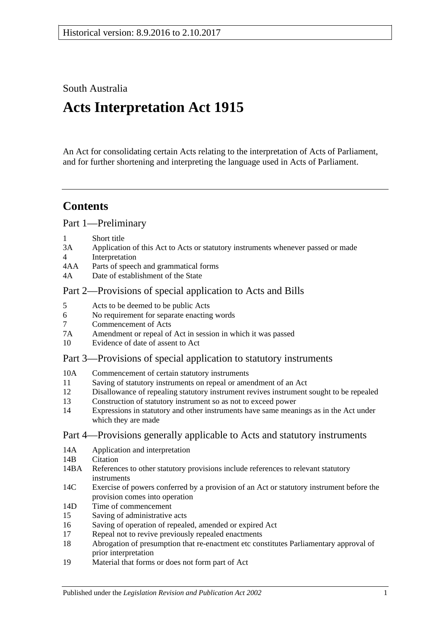South Australia

# **Acts Interpretation Act 1915**

An Act for consolidating certain Acts relating to the interpretation of Acts of Parliament, and for further shortening and interpreting the language used in Acts of Parliament.

## **Contents**

[Part 1—Preliminary](#page-1-0)

- 1 [Short title](#page-1-1)
- 3A [Application of this Act to Acts or statutory instruments whenever passed or made](#page-1-2)
- 4 [Interpretation](#page-2-0)
- 4AA [Parts of speech and grammatical forms](#page-6-0)
- 4A [Date of establishment of the State](#page-7-0)

### [Part 2—Provisions of special application to Acts and Bills](#page-7-1)

- 5 [Acts to be deemed to be public Acts](#page-7-2)
- 6 [No requirement for separate enacting words](#page-7-3)
- 7 [Commencement of Acts](#page-7-4)
- 7A [Amendment or repeal of Act in session in which it was passed](#page-7-5)
- 10 [Evidence of date of assent to Act](#page-8-0)

### [Part 3—Provisions of special application to statutory instruments](#page-8-1)

- 10A [Commencement of certain statutory instruments](#page-8-2)
- 11 [Saving of statutory instruments on repeal or amendment of an Act](#page-8-3)
- 12 [Disallowance of repealing statutory instrument revives instrument sought to](#page-8-4) be repealed
- 13 [Construction of statutory instrument so as not to exceed power](#page-8-5)
- 14 [Expressions in statutory and other instruments have same meanings as in the Act under](#page-9-0)  [which they are made](#page-9-0)

### [Part 4—Provisions generally applicable to Acts and statutory instruments](#page-9-1)

- 14A [Application and interpretation](#page-9-2)
- 14R [Citation](#page-9-3)
- 14BA [References to other statutory provisions include references to relevant statutory](#page-10-0)  [instruments](#page-10-0)
- 14C [Exercise of powers conferred by a provision of an Act or statutory instrument before the](#page-10-1)  [provision comes into operation](#page-10-1)
- 14D [Time of commencement](#page-10-2)
- 15 [Saving of administrative acts](#page-11-0)
- 16 [Saving of operation of repealed, amended or expired Act](#page-11-1)
- 17 [Repeal not to revive previously repealed enactments](#page-12-0)
- 18 [Abrogation of presumption that re-enactment etc constitutes Parliamentary approval of](#page-12-1)  [prior interpretation](#page-12-1)
- 19 [Material that forms or does not form part of Act](#page-12-2)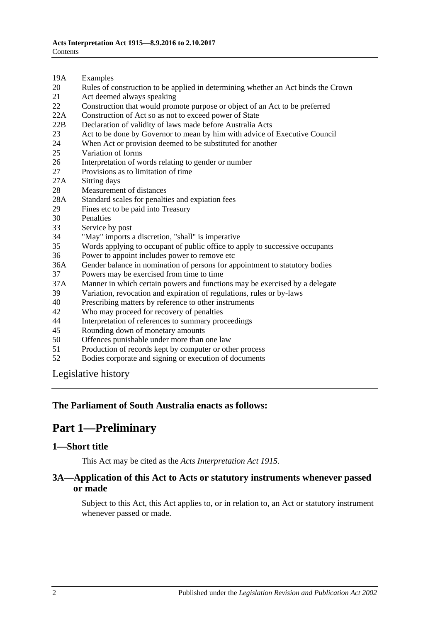- 19A [Examples](#page-12-3)
- 20 [Rules of construction to be applied in determining whether an Act binds the Crown](#page-13-0)
- 21 [Act deemed always speaking](#page-13-1)
- 22 [Construction that would promote purpose or object of an Act to be preferred](#page-13-2)
- 22A [Construction of Act so as not to exceed power of State](#page-13-3)
- 22B [Declaration of validity of laws made before Australia Acts](#page-14-0)
- 23 [Act to be done by Governor to mean by him with advice of Executive Council](#page-14-1)
- 24 [When Act or provision deemed to be substituted for another](#page-14-2)<br>25 Variation of forms
- [Variation of forms](#page-14-3)
- 26 [Interpretation of words relating to gender or number](#page-14-4)
- 27 [Provisions as to limitation of time](#page-15-0)
- 27A [Sitting days](#page-15-1)
- 28 [Measurement of distances](#page-15-2)
- 28A [Standard scales for penalties and expiation fees](#page-15-3)
- 29 [Fines etc to be paid into Treasury](#page-16-0)
- 
- 30 [Penalties](#page-16-1)<br>33 Service b [Service by post](#page-16-2)
- 34 ["May" imports a discretion, "shall" is imperative](#page-17-0)
- 35 [Words applying to occupant of public office to apply to successive occupants](#page-17-1)
- 36 [Power to appoint includes power to remove etc](#page-17-2)
- 36A [Gender balance in nomination of persons for appointment to statutory bodies](#page-17-3)
- 37 [Powers may be exercised from time to time](#page-18-0)
- 37A [Manner in which certain powers and functions may be exercised by a delegate](#page-18-1)
- 39 [Variation, revocation and expiration of regulations, rules or by-laws](#page-18-2)
- 40 [Prescribing matters by reference to other instruments](#page-19-0)
- 42 [Who may proceed for recovery of penalties](#page-19-1)
- 44 [Interpretation of references to summary proceedings](#page-19-2)
- 45 [Rounding down of monetary amounts](#page-19-3)
- 50 [Offences punishable under more than one law](#page-19-4)
- 51 [Production of records kept by computer or other process](#page-20-0)
- 52 [Bodies corporate and signing or execution of documents](#page-20-1)

[Legislative history](#page-21-0)

#### <span id="page-1-0"></span>**The Parliament of South Australia enacts as follows:**

## **Part 1—Preliminary**

#### <span id="page-1-1"></span>**1—Short title**

This Act may be cited as the *Acts Interpretation Act 1915*.

#### <span id="page-1-2"></span>**3A—Application of this Act to Acts or statutory instruments whenever passed or made**

Subject to this Act, this Act applies to, or in relation to, an Act or statutory instrument whenever passed or made.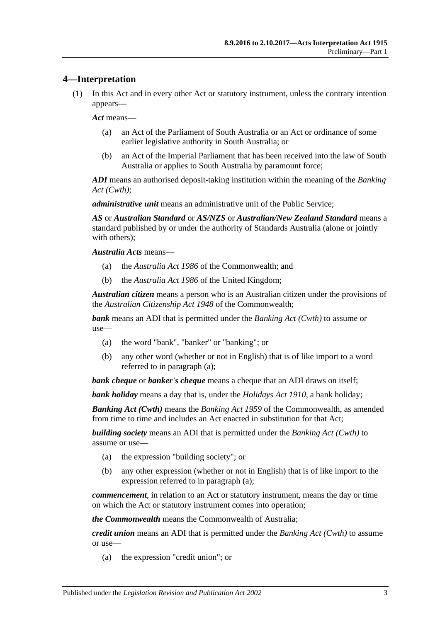#### <span id="page-2-0"></span>**4—Interpretation**

(1) In this Act and in every other Act or statutory instrument, unless the contrary intention appears—

*Act* means—

- (a) an Act of the Parliament of South Australia or an Act or ordinance of some earlier legislative authority in South Australia; or
- (b) an Act of the Imperial Parliament that has been received into the law of South Australia or applies to South Australia by paramount force;

*ADI* means an authorised deposit-taking institution within the meaning of the *Banking Act (Cwth)*;

*administrative unit* means an administrative unit of the Public Service;

*AS* or *Australian Standard* or *AS/NZS* or *Australian/New Zealand Standard* means a standard published by or under the authority of Standards Australia (alone or jointly with others);

*Australia Acts* means—

- (a) the *Australia Act 1986* of the Commonwealth; and
- (b) the *Australia Act 1986* of the United Kingdom;

*Australian citizen* means a person who is an Australian citizen under the provisions of the *Australian Citizenship Act 1948* of the Commonwealth;

<span id="page-2-1"></span>*bank* means an ADI that is permitted under the *Banking Act (Cwth)* to assume or use—

- (a) the word "bank", "banker" or "banking"; or
- (b) any other word (whether or not in English) that is of like import to a word referred to in [paragraph](#page-2-1) (a);

*bank cheque* or *banker's cheque* means a cheque that an ADI draws on itself;

*bank holiday* means a day that is, under the *[Holidays Act](http://www.legislation.sa.gov.au/index.aspx?action=legref&type=act&legtitle=Holidays%20Act%201910) 1910*, a bank holiday;

*Banking Act (Cwth)* means the *Banking Act 1959* of the Commonwealth, as amended from time to time and includes an Act enacted in substitution for that Act;

<span id="page-2-2"></span>*building society* means an ADI that is permitted under the *Banking Act (Cwth)* to assume or use—

- (a) the expression "building society"; or
- (b) any other expression (whether or not in English) that is of like import to the expression referred to in [paragraph](#page-2-2) (a);

*commencement*, in relation to an Act or statutory instrument, means the day or time on which the Act or statutory instrument comes into operation;

*the Commonwealth* means the Commonwealth of Australia;

<span id="page-2-3"></span>*credit union* means an ADI that is permitted under the *Banking Act (Cwth)* to assume or use—

(a) the expression "credit union"; or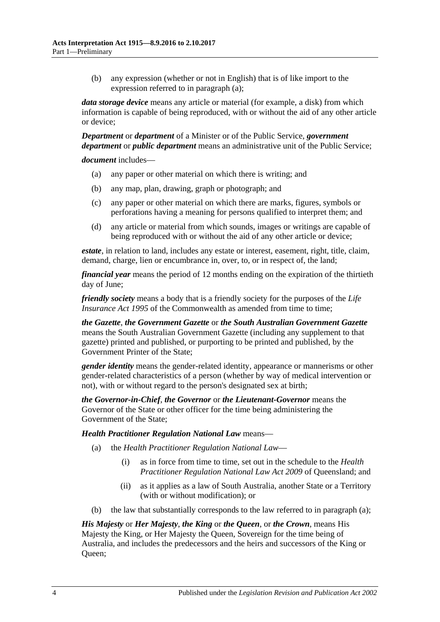(b) any expression (whether or not in English) that is of like import to the expression referred to in [paragraph](#page-2-3) (a);

*data storage device* means any article or material (for example, a disk) from which information is capable of being reproduced, with or without the aid of any other article or device;

*Department* or *department* of a Minister or of the Public Service, *government department* or *public department* means an administrative unit of the Public Service;

*document* includes—

- (a) any paper or other material on which there is writing; and
- (b) any map, plan, drawing, graph or photograph; and
- (c) any paper or other material on which there are marks, figures, symbols or perforations having a meaning for persons qualified to interpret them; and
- (d) any article or material from which sounds, images or writings are capable of being reproduced with or without the aid of any other article or device;

*estate*, in relation to land, includes any estate or interest, easement, right, title, claim, demand, charge, lien or encumbrance in, over, to, or in respect of, the land;

*financial year* means the period of 12 months ending on the expiration of the thirtieth day of June;

*friendly society* means a body that is a friendly society for the purposes of the *Life Insurance Act* 1995 of the Commonwealth as amended from time to time:

*the Gazette*, *the Government Gazette* or *the South Australian Government Gazette* means the South Australian Government Gazette (including any supplement to that gazette) printed and published, or purporting to be printed and published, by the Government Printer of the State;

*gender identity* means the gender-related identity, appearance or mannerisms or other gender-related characteristics of a person (whether by way of medical intervention or not), with or without regard to the person's designated sex at birth;

*the Governor-in-Chief*, *the Governor* or *the Lieutenant-Governor* means the Governor of the State or other officer for the time being administering the Government of the State;

#### <span id="page-3-0"></span>*Health Practitioner Regulation National Law* means—

- (a) the *Health Practitioner Regulation National Law*
	- (i) as in force from time to time, set out in the schedule to the *Health Practitioner Regulation National Law Act 2009* of Queensland; and
	- (ii) as it applies as a law of South Australia, another State or a Territory (with or without modification); or
- (b) the law that substantially corresponds to the law referred to in [paragraph](#page-3-0) (a);

*His Majesty* or *Her Majesty*, *the King* or *the Queen*, or *the Crown*, means His Majesty the King, or Her Majesty the Queen, Sovereign for the time being of Australia, and includes the predecessors and the heirs and successors of the King or Queen;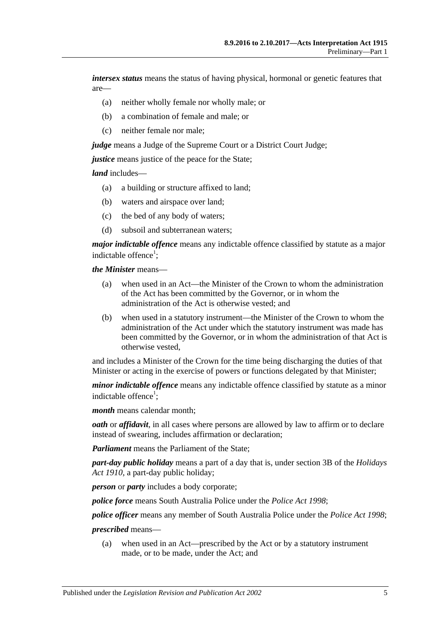*intersex status* means the status of having physical, hormonal or genetic features that are—

- (a) neither wholly female nor wholly male; or
- (b) a combination of female and male; or
- (c) neither female nor male;

*judge* means a Judge of the Supreme Court or a District Court Judge;

*justice* means justice of the peace for the State:

*land* includes—

- (a) a building or structure affixed to land;
- (b) waters and airspace over land;
- (c) the bed of any body of waters;
- (d) subsoil and subterranean waters;

*major indictable offence* means any indictable offence classified by statute as a major indictable offence<sup>1</sup>;

*the Minister* means—

- (a) when used in an Act—the Minister of the Crown to whom the administration of the Act has been committed by the Governor, or in whom the administration of the Act is otherwise vested; and
- (b) when used in a statutory instrument—the Minister of the Crown to whom the administration of the Act under which the statutory instrument was made has been committed by the Governor, or in whom the administration of that Act is otherwise vested,

and includes a Minister of the Crown for the time being discharging the duties of that Minister or acting in the exercise of powers or functions delegated by that Minister;

*minor indictable offence* means any indictable offence classified by statute as a minor indictable offence<sup>1</sup>;

*month* means calendar month;

*oath* or *affidavit*, in all cases where persons are allowed by law to affirm or to declare instead of swearing, includes affirmation or declaration;

*Parliament* means the Parliament of the State;

*part-day public holiday* means a part of a day that is, under section 3B of the *[Holidays](http://www.legislation.sa.gov.au/index.aspx?action=legref&type=act&legtitle=Holidays%20Act%201910)  Act [1910](http://www.legislation.sa.gov.au/index.aspx?action=legref&type=act&legtitle=Holidays%20Act%201910)*, a part-day public holiday;

*person* or *party* includes a body corporate;

*police force* means South Australia Police under the *[Police Act](http://www.legislation.sa.gov.au/index.aspx?action=legref&type=act&legtitle=Police%20Act%201998) 1998*;

*police officer* means any member of South Australia Police under the *[Police Act](http://www.legislation.sa.gov.au/index.aspx?action=legref&type=act&legtitle=Police%20Act%201998) 1998*;

#### *prescribed* means—

(a) when used in an Act—prescribed by the Act or by a statutory instrument made, or to be made, under the Act; and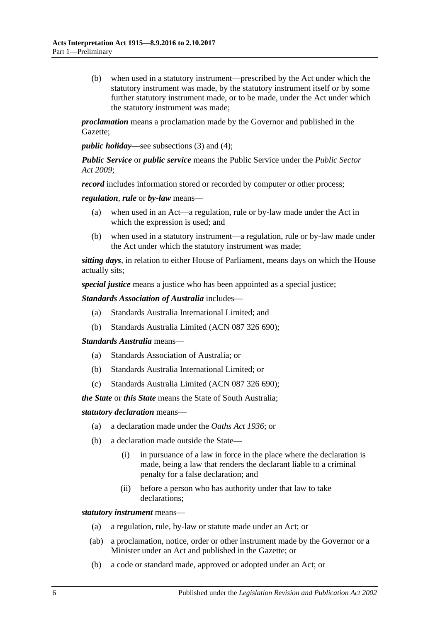(b) when used in a statutory instrument—prescribed by the Act under which the statutory instrument was made, by the statutory instrument itself or by some further statutory instrument made, or to be made, under the Act under which the statutory instrument was made;

*proclamation* means a proclamation made by the Governor and published in the Gazette;

*public holiday*—see [subsections](#page-6-1) (3) and [\(4\);](#page-6-2)

*Public Service* or *public service* means the Public Service under the *[Public Sector](http://www.legislation.sa.gov.au/index.aspx?action=legref&type=act&legtitle=Public%20Sector%20Act%202009)  Act [2009](http://www.legislation.sa.gov.au/index.aspx?action=legref&type=act&legtitle=Public%20Sector%20Act%202009)*;

*record* includes information stored or recorded by computer or other process;

*regulation*, *rule* or *by-law* means—

- (a) when used in an Act—a regulation, rule or by-law made under the Act in which the expression is used; and
- (b) when used in a statutory instrument—a regulation, rule or by-law made under the Act under which the statutory instrument was made;

*sitting days*, in relation to either House of Parliament, means days on which the House actually sits;

*special justice* means a justice who has been appointed as a special justice;

*Standards Association of Australia* includes—

- (a) Standards Australia International Limited; and
- (b) Standards Australia Limited (ACN 087 326 690);

*Standards Australia* means—

- (a) Standards Association of Australia; or
- (b) Standards Australia International Limited; or
- (c) Standards Australia Limited (ACN 087 326 690);

*the State* or *this State* means the State of South Australia;

*statutory declaration* means—

- (a) a declaration made under the *[Oaths Act](http://www.legislation.sa.gov.au/index.aspx?action=legref&type=act&legtitle=Oaths%20Act%201936) 1936*; or
- (b) a declaration made outside the State—
	- (i) in pursuance of a law in force in the place where the declaration is made, being a law that renders the declarant liable to a criminal penalty for a false declaration; and
	- (ii) before a person who has authority under that law to take declarations;

*statutory instrument* means—

- (a) a regulation, rule, by-law or statute made under an Act; or
- (ab) a proclamation, notice, order or other instrument made by the Governor or a Minister under an Act and published in the Gazette; or
- (b) a code or standard made, approved or adopted under an Act; or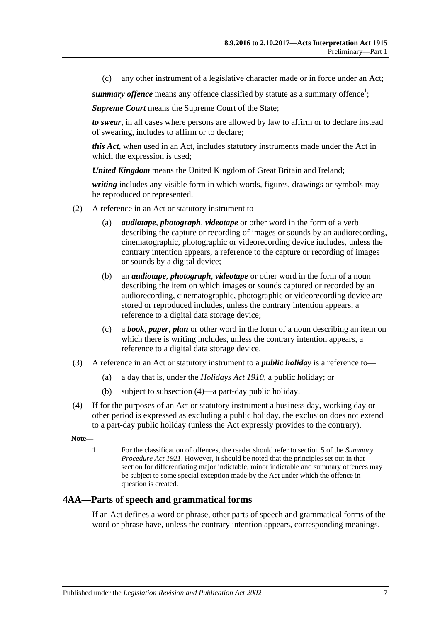(c) any other instrument of a legislative character made or in force under an Act;

summary offence means any offence classified by statute as a summary offence<sup>1</sup>;

*Supreme Court* means the Supreme Court of the State;

*to swear*, in all cases where persons are allowed by law to affirm or to declare instead of swearing, includes to affirm or to declare;

*this Act*, when used in an Act, includes statutory instruments made under the Act in which the expression is used;

*United Kingdom* means the United Kingdom of Great Britain and Ireland;

*writing* includes any visible form in which words, figures, drawings or symbols may be reproduced or represented.

- (2) A reference in an Act or statutory instrument to—
	- (a) *audiotape*, *photograph*, *videotape* or other word in the form of a verb describing the capture or recording of images or sounds by an audiorecording, cinematographic, photographic or videorecording device includes, unless the contrary intention appears, a reference to the capture or recording of images or sounds by a digital device;
	- (b) an *audiotape*, *photograph*, *videotape* or other word in the form of a noun describing the item on which images or sounds captured or recorded by an audiorecording, cinematographic, photographic or videorecording device are stored or reproduced includes, unless the contrary intention appears, a reference to a digital data storage device;
	- (c) a *book*, *paper*, *plan* or other word in the form of a noun describing an item on which there is writing includes, unless the contrary intention appears, a reference to a digital data storage device.
- <span id="page-6-1"></span>(3) A reference in an Act or statutory instrument to a *public holiday* is a reference to—
	- (a) a day that is, under the *[Holidays Act](http://www.legislation.sa.gov.au/index.aspx?action=legref&type=act&legtitle=Holidays%20Act%201910) 1910*, a public holiday; or
	- (b) subject to [subsection](#page-6-2) (4)—a part-day public holiday.
- <span id="page-6-2"></span>(4) If for the purposes of an Act or statutory instrument a business day, working day or other period is expressed as excluding a public holiday, the exclusion does not extend to a part-day public holiday (unless the Act expressly provides to the contrary).

**Note—**

1 For the classification of offences, the reader should refer to section 5 of the *[Summary](http://www.legislation.sa.gov.au/index.aspx?action=legref&type=act&legtitle=Summary%20Procedure%20Act%201921)  [Procedure Act](http://www.legislation.sa.gov.au/index.aspx?action=legref&type=act&legtitle=Summary%20Procedure%20Act%201921) 1921*. However, it should be noted that the principles set out in that section for differentiating major indictable, minor indictable and summary offences may be subject to some special exception made by the Act under which the offence in question is created.

#### <span id="page-6-0"></span>**4AA—Parts of speech and grammatical forms**

If an Act defines a word or phrase, other parts of speech and grammatical forms of the word or phrase have, unless the contrary intention appears, corresponding meanings.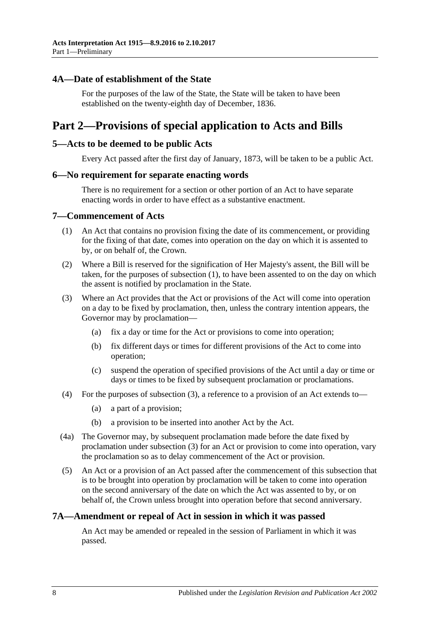#### <span id="page-7-0"></span>**4A—Date of establishment of the State**

For the purposes of the law of the State, the State will be taken to have been established on the twenty-eighth day of December, 1836.

### <span id="page-7-1"></span>**Part 2—Provisions of special application to Acts and Bills**

#### <span id="page-7-2"></span>**5—Acts to be deemed to be public Acts**

Every Act passed after the first day of January, 1873, will be taken to be a public Act.

#### <span id="page-7-3"></span>**6—No requirement for separate enacting words**

There is no requirement for a section or other portion of an Act to have separate enacting words in order to have effect as a substantive enactment.

#### <span id="page-7-6"></span><span id="page-7-4"></span>**7—Commencement of Acts**

- (1) An Act that contains no provision fixing the date of its commencement, or providing for the fixing of that date, comes into operation on the day on which it is assented to by, or on behalf of, the Crown.
- (2) Where a Bill is reserved for the signification of Her Majesty's assent, the Bill will be taken, for the purposes of [subsection](#page-7-6) (1), to have been assented to on the day on which the assent is notified by proclamation in the State.
- <span id="page-7-7"></span>(3) Where an Act provides that the Act or provisions of the Act will come into operation on a day to be fixed by proclamation, then, unless the contrary intention appears, the Governor may by proclamation—
	- (a) fix a day or time for the Act or provisions to come into operation;
	- (b) fix different days or times for different provisions of the Act to come into operation;
	- (c) suspend the operation of specified provisions of the Act until a day or time or days or times to be fixed by subsequent proclamation or proclamations.
- (4) For the purposes of [subsection](#page-7-7) (3), a reference to a provision of an Act extends to—
	- (a) a part of a provision;
	- (b) a provision to be inserted into another Act by the Act.
- (4a) The Governor may, by subsequent proclamation made before the date fixed by proclamation under [subsection](#page-7-7) (3) for an Act or provision to come into operation, vary the proclamation so as to delay commencement of the Act or provision.
- (5) An Act or a provision of an Act passed after the commencement of this subsection that is to be brought into operation by proclamation will be taken to come into operation on the second anniversary of the date on which the Act was assented to by, or on behalf of, the Crown unless brought into operation before that second anniversary.

#### <span id="page-7-5"></span>**7A—Amendment or repeal of Act in session in which it was passed**

An Act may be amended or repealed in the session of Parliament in which it was passed.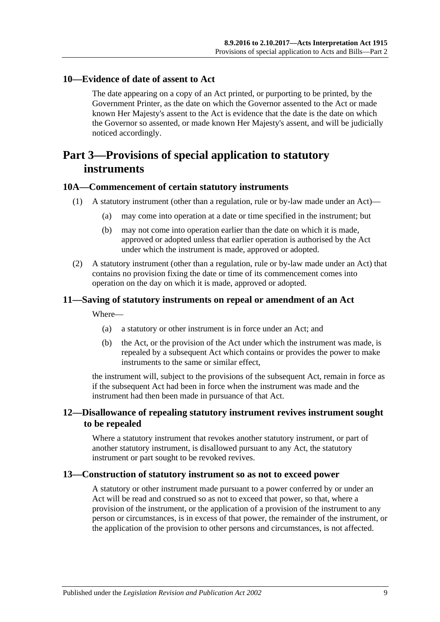#### <span id="page-8-0"></span>**10—Evidence of date of assent to Act**

The date appearing on a copy of an Act printed, or purporting to be printed, by the Government Printer, as the date on which the Governor assented to the Act or made known Her Majesty's assent to the Act is evidence that the date is the date on which the Governor so assented, or made known Her Majesty's assent, and will be judicially noticed accordingly.

## <span id="page-8-1"></span>**Part 3—Provisions of special application to statutory instruments**

#### <span id="page-8-2"></span>**10A—Commencement of certain statutory instruments**

- (1) A statutory instrument (other than a regulation, rule or by-law made under an Act)—
	- (a) may come into operation at a date or time specified in the instrument; but
	- (b) may not come into operation earlier than the date on which it is made, approved or adopted unless that earlier operation is authorised by the Act under which the instrument is made, approved or adopted.
- (2) A statutory instrument (other than a regulation, rule or by-law made under an Act) that contains no provision fixing the date or time of its commencement comes into operation on the day on which it is made, approved or adopted.

#### <span id="page-8-3"></span>**11—Saving of statutory instruments on repeal or amendment of an Act**

Where—

- (a) a statutory or other instrument is in force under an Act; and
- (b) the Act, or the provision of the Act under which the instrument was made, is repealed by a subsequent Act which contains or provides the power to make instruments to the same or similar effect,

the instrument will, subject to the provisions of the subsequent Act, remain in force as if the subsequent Act had been in force when the instrument was made and the instrument had then been made in pursuance of that Act.

#### <span id="page-8-4"></span>**12—Disallowance of repealing statutory instrument revives instrument sought to be repealed**

Where a statutory instrument that revokes another statutory instrument, or part of another statutory instrument, is disallowed pursuant to any Act, the statutory instrument or part sought to be revoked revives.

#### <span id="page-8-5"></span>**13—Construction of statutory instrument so as not to exceed power**

A statutory or other instrument made pursuant to a power conferred by or under an Act will be read and construed so as not to exceed that power, so that, where a provision of the instrument, or the application of a provision of the instrument to any person or circumstances, is in excess of that power, the remainder of the instrument, or the application of the provision to other persons and circumstances, is not affected.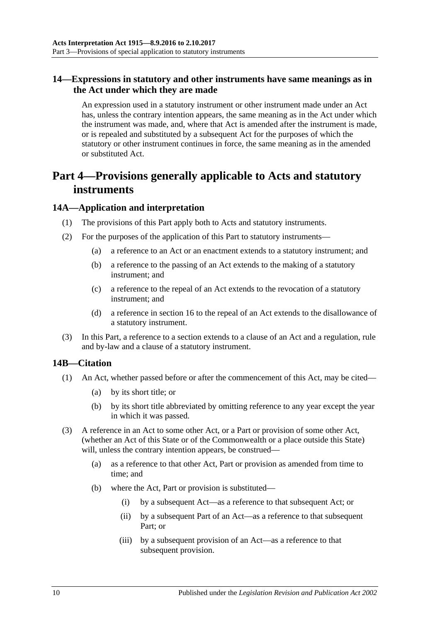#### <span id="page-9-0"></span>**14—Expressions in statutory and other instruments have same meanings as in the Act under which they are made**

An expression used in a statutory instrument or other instrument made under an Act has, unless the contrary intention appears, the same meaning as in the Act under which the instrument was made, and, where that Act is amended after the instrument is made, or is repealed and substituted by a subsequent Act for the purposes of which the statutory or other instrument continues in force, the same meaning as in the amended or substituted Act.

## <span id="page-9-1"></span>**Part 4—Provisions generally applicable to Acts and statutory instruments**

#### <span id="page-9-2"></span>**14A—Application and interpretation**

- (1) The provisions of this Part apply both to Acts and statutory instruments.
- (2) For the purposes of the application of this Part to statutory instruments—
	- (a) a reference to an Act or an enactment extends to a statutory instrument; and
	- (b) a reference to the passing of an Act extends to the making of a statutory instrument; and
	- (c) a reference to the repeal of an Act extends to the revocation of a statutory instrument; and
	- (d) a reference in [section](#page-11-1) 16 to the repeal of an Act extends to the disallowance of a statutory instrument.
- (3) In this Part, a reference to a section extends to a clause of an Act and a regulation, rule and by-law and a clause of a statutory instrument.

#### <span id="page-9-3"></span>**14B—Citation**

- (1) An Act, whether passed before or after the commencement of this Act, may be cited—
	- (a) by its short title; or
	- (b) by its short title abbreviated by omitting reference to any year except the year in which it was passed.
- (3) A reference in an Act to some other Act, or a Part or provision of some other Act, (whether an Act of this State or of the Commonwealth or a place outside this State) will, unless the contrary intention appears, be construed—
	- (a) as a reference to that other Act, Part or provision as amended from time to time; and
	- (b) where the Act, Part or provision is substituted—
		- (i) by a subsequent Act—as a reference to that subsequent Act; or
		- (ii) by a subsequent Part of an Act—as a reference to that subsequent Part; or
		- (iii) by a subsequent provision of an Act—as a reference to that subsequent provision.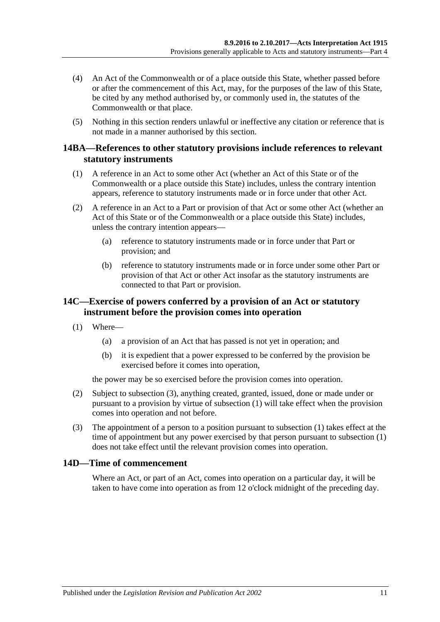- (4) An Act of the Commonwealth or of a place outside this State, whether passed before or after the commencement of this Act, may, for the purposes of the law of this State, be cited by any method authorised by, or commonly used in, the statutes of the Commonwealth or that place.
- (5) Nothing in this section renders unlawful or ineffective any citation or reference that is not made in a manner authorised by this section.

#### <span id="page-10-0"></span>**14BA—References to other statutory provisions include references to relevant statutory instruments**

- (1) A reference in an Act to some other Act (whether an Act of this State or of the Commonwealth or a place outside this State) includes, unless the contrary intention appears, reference to statutory instruments made or in force under that other Act.
- (2) A reference in an Act to a Part or provision of that Act or some other Act (whether an Act of this State or of the Commonwealth or a place outside this State) includes, unless the contrary intention appears—
	- (a) reference to statutory instruments made or in force under that Part or provision; and
	- (b) reference to statutory instruments made or in force under some other Part or provision of that Act or other Act insofar as the statutory instruments are connected to that Part or provision.

#### <span id="page-10-1"></span>**14C—Exercise of powers conferred by a provision of an Act or statutory instrument before the provision comes into operation**

- <span id="page-10-4"></span>(1) Where—
	- (a) a provision of an Act that has passed is not yet in operation; and
	- (b) it is expedient that a power expressed to be conferred by the provision be exercised before it comes into operation,

the power may be so exercised before the provision comes into operation.

- (2) Subject to [subsection](#page-10-3) (3), anything created, granted, issued, done or made under or pursuant to a provision by virtue of [subsection](#page-10-4) (1) will take effect when the provision comes into operation and not before.
- <span id="page-10-3"></span>(3) The appointment of a person to a position pursuant to [subsection](#page-10-4) (1) takes effect at the time of appointment but any power exercised by that person pursuant to [subsection](#page-10-4) (1) does not take effect until the relevant provision comes into operation.

#### <span id="page-10-2"></span>**14D—Time of commencement**

Where an Act, or part of an Act, comes into operation on a particular day, it will be taken to have come into operation as from 12 o'clock midnight of the preceding day.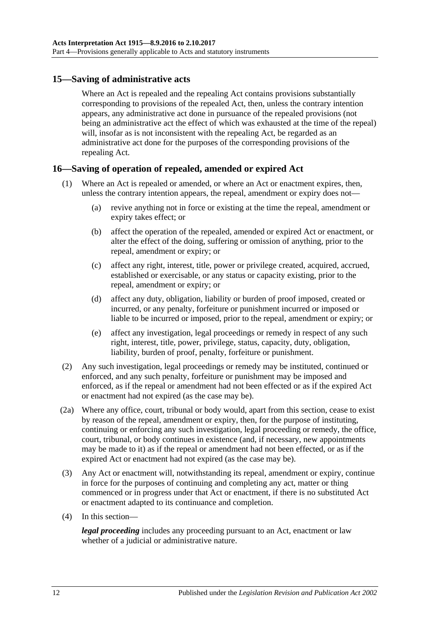#### <span id="page-11-0"></span>**15—Saving of administrative acts**

Where an Act is repealed and the repealing Act contains provisions substantially corresponding to provisions of the repealed Act, then, unless the contrary intention appears, any administrative act done in pursuance of the repealed provisions (not being an administrative act the effect of which was exhausted at the time of the repeal) will, insofar as is not inconsistent with the repealing Act, be regarded as an administrative act done for the purposes of the corresponding provisions of the repealing Act.

#### <span id="page-11-1"></span>**16—Saving of operation of repealed, amended or expired Act**

- (1) Where an Act is repealed or amended, or where an Act or enactment expires, then, unless the contrary intention appears, the repeal, amendment or expiry does not—
	- (a) revive anything not in force or existing at the time the repeal, amendment or expiry takes effect; or
	- (b) affect the operation of the repealed, amended or expired Act or enactment, or alter the effect of the doing, suffering or omission of anything, prior to the repeal, amendment or expiry; or
	- (c) affect any right, interest, title, power or privilege created, acquired, accrued, established or exercisable, or any status or capacity existing, prior to the repeal, amendment or expiry; or
	- (d) affect any duty, obligation, liability or burden of proof imposed, created or incurred, or any penalty, forfeiture or punishment incurred or imposed or liable to be incurred or imposed, prior to the repeal, amendment or expiry; or
	- (e) affect any investigation, legal proceedings or remedy in respect of any such right, interest, title, power, privilege, status, capacity, duty, obligation, liability, burden of proof, penalty, forfeiture or punishment.
- (2) Any such investigation, legal proceedings or remedy may be instituted, continued or enforced, and any such penalty, forfeiture or punishment may be imposed and enforced, as if the repeal or amendment had not been effected or as if the expired Act or enactment had not expired (as the case may be).
- (2a) Where any office, court, tribunal or body would, apart from this section, cease to exist by reason of the repeal, amendment or expiry, then, for the purpose of instituting, continuing or enforcing any such investigation, legal proceeding or remedy, the office, court, tribunal, or body continues in existence (and, if necessary, new appointments may be made to it) as if the repeal or amendment had not been effected, or as if the expired Act or enactment had not expired (as the case may be).
- (3) Any Act or enactment will, notwithstanding its repeal, amendment or expiry, continue in force for the purposes of continuing and completing any act, matter or thing commenced or in progress under that Act or enactment, if there is no substituted Act or enactment adapted to its continuance and completion.
- (4) In this section—

*legal proceeding* includes any proceeding pursuant to an Act, enactment or law whether of a judicial or administrative nature.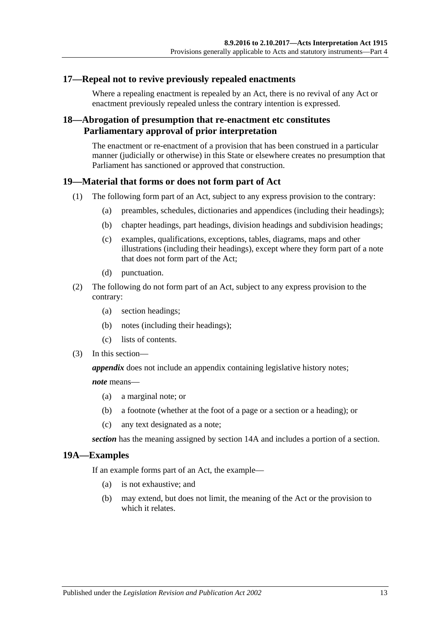#### <span id="page-12-0"></span>**17—Repeal not to revive previously repealed enactments**

Where a repealing enactment is repealed by an Act, there is no revival of any Act or enactment previously repealed unless the contrary intention is expressed.

#### <span id="page-12-1"></span>**18—Abrogation of presumption that re-enactment etc constitutes Parliamentary approval of prior interpretation**

The enactment or re-enactment of a provision that has been construed in a particular manner (judicially or otherwise) in this State or elsewhere creates no presumption that Parliament has sanctioned or approved that construction.

#### <span id="page-12-2"></span>**19—Material that forms or does not form part of Act**

- (1) The following form part of an Act, subject to any express provision to the contrary:
	- (a) preambles, schedules, dictionaries and appendices (including their headings);
	- (b) chapter headings, part headings, division headings and subdivision headings;
	- (c) examples, qualifications, exceptions, tables, diagrams, maps and other illustrations (including their headings), except where they form part of a note that does not form part of the Act;
	- (d) punctuation.
- (2) The following do not form part of an Act, subject to any express provision to the contrary:
	- (a) section headings;
	- (b) notes (including their headings);
	- (c) lists of contents.
- (3) In this section—

*appendix* does not include an appendix containing legislative history notes;

*note* means—

- (a) a marginal note; or
- (b) a footnote (whether at the foot of a page or a section or a heading); or
- (c) any text designated as a note;

*section* has the meaning assigned by [section](#page-9-2) 14A and includes a portion of a section.

#### <span id="page-12-3"></span>**19A—Examples**

If an example forms part of an Act, the example—

- (a) is not exhaustive; and
- (b) may extend, but does not limit, the meaning of the Act or the provision to which it relates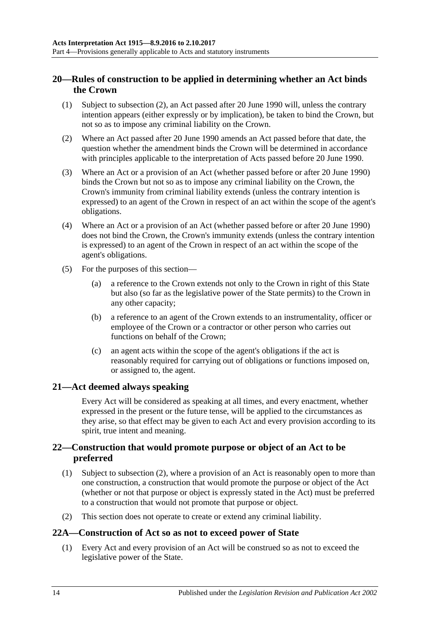### <span id="page-13-0"></span>**20—Rules of construction to be applied in determining whether an Act binds the Crown**

- (1) Subject to [subsection](#page-13-4) (2), an Act passed after 20 June 1990 will, unless the contrary intention appears (either expressly or by implication), be taken to bind the Crown, but not so as to impose any criminal liability on the Crown.
- <span id="page-13-4"></span>(2) Where an Act passed after 20 June 1990 amends an Act passed before that date, the question whether the amendment binds the Crown will be determined in accordance with principles applicable to the interpretation of Acts passed before 20 June 1990.
- (3) Where an Act or a provision of an Act (whether passed before or after 20 June 1990) binds the Crown but not so as to impose any criminal liability on the Crown, the Crown's immunity from criminal liability extends (unless the contrary intention is expressed) to an agent of the Crown in respect of an act within the scope of the agent's obligations.
- (4) Where an Act or a provision of an Act (whether passed before or after 20 June 1990) does not bind the Crown, the Crown's immunity extends (unless the contrary intention is expressed) to an agent of the Crown in respect of an act within the scope of the agent's obligations.
- (5) For the purposes of this section—
	- (a) a reference to the Crown extends not only to the Crown in right of this State but also (so far as the legislative power of the State permits) to the Crown in any other capacity;
	- (b) a reference to an agent of the Crown extends to an instrumentality, officer or employee of the Crown or a contractor or other person who carries out functions on behalf of the Crown;
	- (c) an agent acts within the scope of the agent's obligations if the act is reasonably required for carrying out of obligations or functions imposed on, or assigned to, the agent.

### <span id="page-13-1"></span>**21—Act deemed always speaking**

Every Act will be considered as speaking at all times, and every enactment, whether expressed in the present or the future tense, will be applied to the circumstances as they arise, so that effect may be given to each Act and every provision according to its spirit, true intent and meaning.

### <span id="page-13-2"></span>**22—Construction that would promote purpose or object of an Act to be preferred**

- (1) Subject to [subsection](#page-13-5) (2), where a provision of an Act is reasonably open to more than one construction, a construction that would promote the purpose or object of the Act (whether or not that purpose or object is expressly stated in the Act) must be preferred to a construction that would not promote that purpose or object.
- <span id="page-13-5"></span>(2) This section does not operate to create or extend any criminal liability.

### <span id="page-13-3"></span>**22A—Construction of Act so as not to exceed power of State**

(1) Every Act and every provision of an Act will be construed so as not to exceed the legislative power of the State.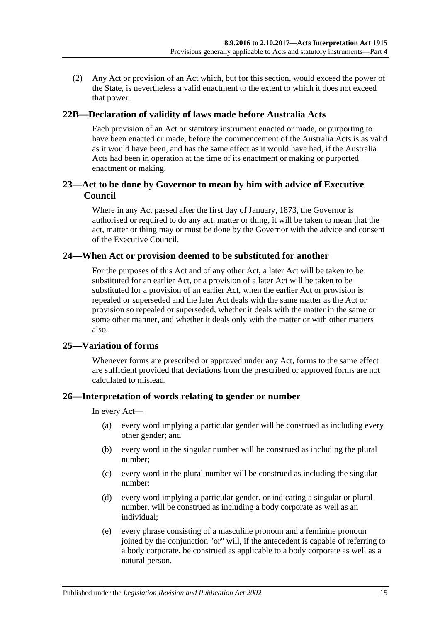(2) Any Act or provision of an Act which, but for this section, would exceed the power of the State, is nevertheless a valid enactment to the extent to which it does not exceed that power.

#### <span id="page-14-0"></span>**22B—Declaration of validity of laws made before Australia Acts**

Each provision of an Act or statutory instrument enacted or made, or purporting to have been enacted or made, before the commencement of the Australia Acts is as valid as it would have been, and has the same effect as it would have had, if the Australia Acts had been in operation at the time of its enactment or making or purported enactment or making.

#### <span id="page-14-1"></span>**23—Act to be done by Governor to mean by him with advice of Executive Council**

Where in any Act passed after the first day of January, 1873, the Governor is authorised or required to do any act, matter or thing, it will be taken to mean that the act, matter or thing may or must be done by the Governor with the advice and consent of the Executive Council.

#### <span id="page-14-2"></span>**24—When Act or provision deemed to be substituted for another**

For the purposes of this Act and of any other Act, a later Act will be taken to be substituted for an earlier Act, or a provision of a later Act will be taken to be substituted for a provision of an earlier Act, when the earlier Act or provision is repealed or superseded and the later Act deals with the same matter as the Act or provision so repealed or superseded, whether it deals with the matter in the same or some other manner, and whether it deals only with the matter or with other matters also.

#### <span id="page-14-3"></span>**25—Variation of forms**

Whenever forms are prescribed or approved under any Act, forms to the same effect are sufficient provided that deviations from the prescribed or approved forms are not calculated to mislead.

#### <span id="page-14-4"></span>**26—Interpretation of words relating to gender or number**

In every Act—

- (a) every word implying a particular gender will be construed as including every other gender; and
- (b) every word in the singular number will be construed as including the plural number;
- (c) every word in the plural number will be construed as including the singular number;
- (d) every word implying a particular gender, or indicating a singular or plural number, will be construed as including a body corporate as well as an individual;
- (e) every phrase consisting of a masculine pronoun and a feminine pronoun joined by the conjunction "or" will, if the antecedent is capable of referring to a body corporate, be construed as applicable to a body corporate as well as a natural person.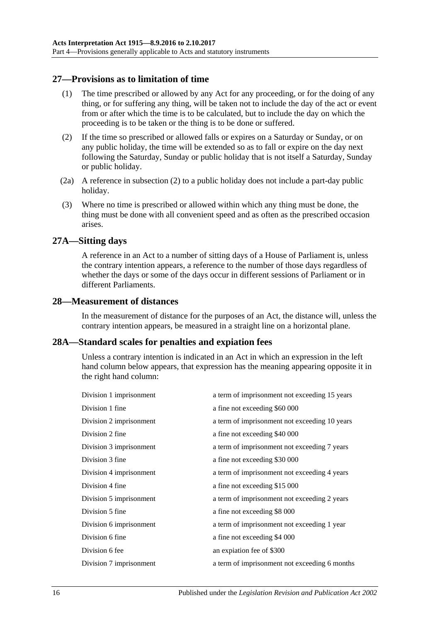#### <span id="page-15-0"></span>**27—Provisions as to limitation of time**

- (1) The time prescribed or allowed by any Act for any proceeding, or for the doing of any thing, or for suffering any thing, will be taken not to include the day of the act or event from or after which the time is to be calculated, but to include the day on which the proceeding is to be taken or the thing is to be done or suffered.
- <span id="page-15-4"></span>(2) If the time so prescribed or allowed falls or expires on a Saturday or Sunday, or on any public holiday, the time will be extended so as to fall or expire on the day next following the Saturday, Sunday or public holiday that is not itself a Saturday, Sunday or public holiday.
- (2a) A reference in [subsection](#page-15-4) (2) to a public holiday does not include a part-day public holiday.
- (3) Where no time is prescribed or allowed within which any thing must be done, the thing must be done with all convenient speed and as often as the prescribed occasion arises.

#### <span id="page-15-1"></span>**27A—Sitting days**

A reference in an Act to a number of sitting days of a House of Parliament is, unless the contrary intention appears, a reference to the number of those days regardless of whether the days or some of the days occur in different sessions of Parliament or in different Parliaments.

#### <span id="page-15-2"></span>**28—Measurement of distances**

In the measurement of distance for the purposes of an Act, the distance will, unless the contrary intention appears, be measured in a straight line on a horizontal plane.

#### <span id="page-15-3"></span>**28A—Standard scales for penalties and expiation fees**

Unless a contrary intention is indicated in an Act in which an expression in the left hand column below appears, that expression has the meaning appearing opposite it in the right hand column:

| Division 1 imprisonment | a term of imprisonment not exceeding 15 years |
|-------------------------|-----------------------------------------------|
| Division 1 fine         | a fine not exceeding \$60 000                 |
| Division 2 imprisonment | a term of imprisonment not exceeding 10 years |
| Division 2 fine         | a fine not exceeding \$40 000                 |
| Division 3 imprisonment | a term of imprisonment not exceeding 7 years  |
| Division 3 fine         | a fine not exceeding \$30 000                 |
| Division 4 imprisonment | a term of imprisonment not exceeding 4 years  |
| Division 4 fine         | a fine not exceeding \$15 000                 |
| Division 5 imprisonment | a term of imprisonment not exceeding 2 years  |
| Division 5 fine         | a fine not exceeding \$8 000                  |
| Division 6 imprisonment | a term of imprisonment not exceeding 1 year   |
| Division 6 fine         | a fine not exceeding \$4 000                  |
| Division 6 fee          | an expiation fee of \$300                     |
| Division 7 imprisonment | a term of imprisonment not exceeding 6 months |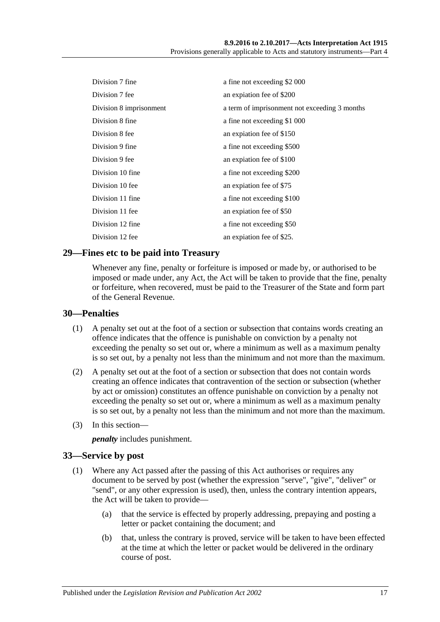| Division 7 fine         | a fine not exceeding \$2 000                  |
|-------------------------|-----------------------------------------------|
| Division 7 fee          | an expiation fee of \$200                     |
| Division 8 imprisonment | a term of imprisonment not exceeding 3 months |
| Division 8 fine         | a fine not exceeding \$1 000                  |
| Division 8 fee          | an expiation fee of \$150                     |
| Division 9 fine         | a fine not exceeding \$500                    |
| Division 9 fee          | an expiation fee of \$100                     |
| Division 10 fine        | a fine not exceeding \$200                    |
| Division 10 fee         | an explation fee of \$75                      |
| Division 11 fine        | a fine not exceeding \$100                    |
| Division 11 fee         | an expiation fee of \$50                      |
| Division 12 fine        | a fine not exceeding \$50                     |
| Division 12 fee         | an expiation fee of \$25.                     |

#### <span id="page-16-0"></span>**29—Fines etc to be paid into Treasury**

Whenever any fine, penalty or forfeiture is imposed or made by, or authorised to be imposed or made under, any Act, the Act will be taken to provide that the fine, penalty or forfeiture, when recovered, must be paid to the Treasurer of the State and form part of the General Revenue.

#### <span id="page-16-1"></span>**30—Penalties**

- (1) A penalty set out at the foot of a section or subsection that contains words creating an offence indicates that the offence is punishable on conviction by a penalty not exceeding the penalty so set out or, where a minimum as well as a maximum penalty is so set out, by a penalty not less than the minimum and not more than the maximum.
- (2) A penalty set out at the foot of a section or subsection that does not contain words creating an offence indicates that contravention of the section or subsection (whether by act or omission) constitutes an offence punishable on conviction by a penalty not exceeding the penalty so set out or, where a minimum as well as a maximum penalty is so set out, by a penalty not less than the minimum and not more than the maximum.
- (3) In this section—

*penalty* includes punishment.

#### <span id="page-16-2"></span>**33—Service by post**

- (1) Where any Act passed after the passing of this Act authorises or requires any document to be served by post (whether the expression "serve", "give", "deliver" or "send", or any other expression is used), then, unless the contrary intention appears, the Act will be taken to provide—
	- (a) that the service is effected by properly addressing, prepaying and posting a letter or packet containing the document; and
	- (b) that, unless the contrary is proved, service will be taken to have been effected at the time at which the letter or packet would be delivered in the ordinary course of post.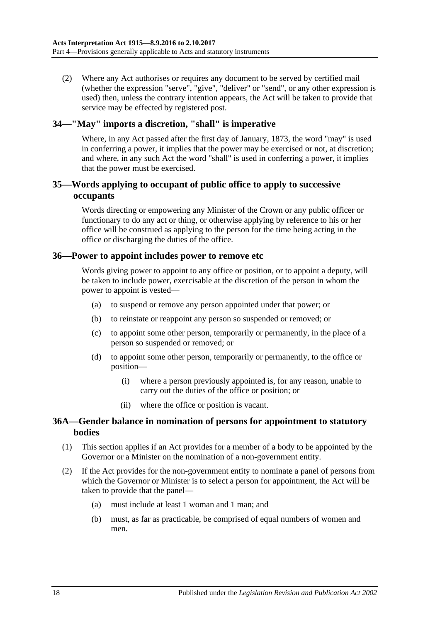(2) Where any Act authorises or requires any document to be served by certified mail (whether the expression "serve", "give", "deliver" or "send", or any other expression is used) then, unless the contrary intention appears, the Act will be taken to provide that service may be effected by registered post.

#### <span id="page-17-0"></span>**34—"May" imports a discretion, "shall" is imperative**

Where, in any Act passed after the first day of January, 1873, the word "may" is used in conferring a power, it implies that the power may be exercised or not, at discretion; and where, in any such Act the word "shall" is used in conferring a power, it implies that the power must be exercised.

#### <span id="page-17-1"></span>**35—Words applying to occupant of public office to apply to successive occupants**

Words directing or empowering any Minister of the Crown or any public officer or functionary to do any act or thing, or otherwise applying by reference to his or her office will be construed as applying to the person for the time being acting in the office or discharging the duties of the office.

#### <span id="page-17-2"></span>**36—Power to appoint includes power to remove etc**

Words giving power to appoint to any office or position, or to appoint a deputy, will be taken to include power, exercisable at the discretion of the person in whom the power to appoint is vested—

- (a) to suspend or remove any person appointed under that power; or
- (b) to reinstate or reappoint any person so suspended or removed; or
- (c) to appoint some other person, temporarily or permanently, in the place of a person so suspended or removed; or
- (d) to appoint some other person, temporarily or permanently, to the office or position—
	- (i) where a person previously appointed is, for any reason, unable to carry out the duties of the office or position; or
	- (ii) where the office or position is vacant.

#### <span id="page-17-3"></span>**36A—Gender balance in nomination of persons for appointment to statutory bodies**

- (1) This section applies if an Act provides for a member of a body to be appointed by the Governor or a Minister on the nomination of a non-government entity.
- (2) If the Act provides for the non-government entity to nominate a panel of persons from which the Governor or Minister is to select a person for appointment, the Act will be taken to provide that the panel—
	- (a) must include at least 1 woman and 1 man; and
	- (b) must, as far as practicable, be comprised of equal numbers of women and men.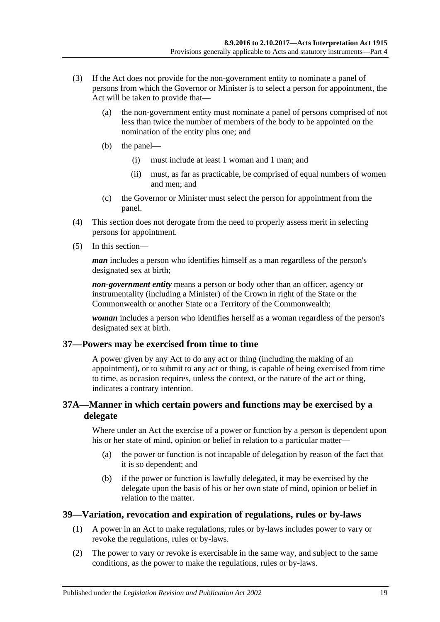- (3) If the Act does not provide for the non-government entity to nominate a panel of persons from which the Governor or Minister is to select a person for appointment, the Act will be taken to provide that—
	- (a) the non-government entity must nominate a panel of persons comprised of not less than twice the number of members of the body to be appointed on the nomination of the entity plus one; and
	- (b) the panel—
		- (i) must include at least 1 woman and 1 man; and
		- (ii) must, as far as practicable, be comprised of equal numbers of women and men; and
	- (c) the Governor or Minister must select the person for appointment from the panel.
- (4) This section does not derogate from the need to properly assess merit in selecting persons for appointment.
- (5) In this section—

*man* includes a person who identifies himself as a man regardless of the person's designated sex at birth;

*non-government entity* means a person or body other than an officer, agency or instrumentality (including a Minister) of the Crown in right of the State or the Commonwealth or another State or a Territory of the Commonwealth;

*woman* includes a person who identifies herself as a woman regardless of the person's designated sex at birth.

### <span id="page-18-0"></span>**37—Powers may be exercised from time to time**

A power given by any Act to do any act or thing (including the making of an appointment), or to submit to any act or thing, is capable of being exercised from time to time, as occasion requires, unless the context, or the nature of the act or thing, indicates a contrary intention.

#### <span id="page-18-1"></span>**37A—Manner in which certain powers and functions may be exercised by a delegate**

Where under an Act the exercise of a power or function by a person is dependent upon his or her state of mind, opinion or belief in relation to a particular matter—

- (a) the power or function is not incapable of delegation by reason of the fact that it is so dependent; and
- (b) if the power or function is lawfully delegated, it may be exercised by the delegate upon the basis of his or her own state of mind, opinion or belief in relation to the matter.

### <span id="page-18-2"></span>**39—Variation, revocation and expiration of regulations, rules or by-laws**

- (1) A power in an Act to make regulations, rules or by-laws includes power to vary or revoke the regulations, rules or by-laws.
- (2) The power to vary or revoke is exercisable in the same way, and subject to the same conditions, as the power to make the regulations, rules or by-laws.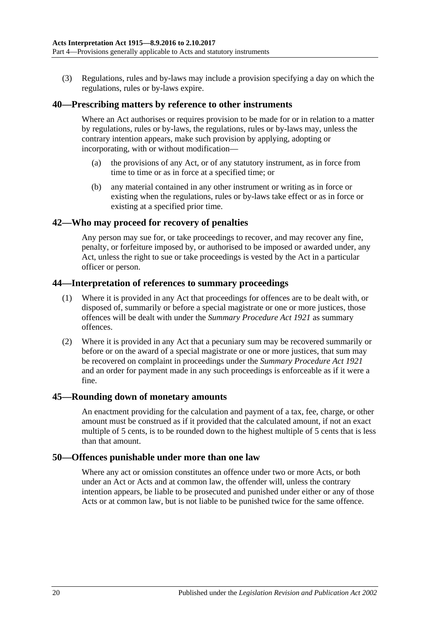(3) Regulations, rules and by-laws may include a provision specifying a day on which the regulations, rules or by-laws expire.

#### <span id="page-19-0"></span>**40—Prescribing matters by reference to other instruments**

Where an Act authorises or requires provision to be made for or in relation to a matter by regulations, rules or by-laws, the regulations, rules or by-laws may, unless the contrary intention appears, make such provision by applying, adopting or incorporating, with or without modification—

- (a) the provisions of any Act, or of any statutory instrument, as in force from time to time or as in force at a specified time; or
- (b) any material contained in any other instrument or writing as in force or existing when the regulations, rules or by-laws take effect or as in force or existing at a specified prior time.

#### <span id="page-19-1"></span>**42—Who may proceed for recovery of penalties**

Any person may sue for, or take proceedings to recover, and may recover any fine, penalty, or forfeiture imposed by, or authorised to be imposed or awarded under, any Act, unless the right to sue or take proceedings is vested by the Act in a particular officer or person.

#### <span id="page-19-2"></span>**44—Interpretation of references to summary proceedings**

- (1) Where it is provided in any Act that proceedings for offences are to be dealt with, or disposed of, summarily or before a special magistrate or one or more justices, those offences will be dealt with under the *[Summary Procedure Act](http://www.legislation.sa.gov.au/index.aspx?action=legref&type=act&legtitle=Summary%20Procedure%20Act%201921) 1921* as summary offences.
- (2) Where it is provided in any Act that a pecuniary sum may be recovered summarily or before or on the award of a special magistrate or one or more justices, that sum may be recovered on complaint in proceedings under the *[Summary Procedure Act](http://www.legislation.sa.gov.au/index.aspx?action=legref&type=act&legtitle=Summary%20Procedure%20Act%201921) 1921* and an order for payment made in any such proceedings is enforceable as if it were a fine.

#### <span id="page-19-3"></span>**45—Rounding down of monetary amounts**

An enactment providing for the calculation and payment of a tax, fee, charge, or other amount must be construed as if it provided that the calculated amount, if not an exact multiple of 5 cents, is to be rounded down to the highest multiple of 5 cents that is less than that amount.

#### <span id="page-19-4"></span>**50—Offences punishable under more than one law**

Where any act or omission constitutes an offence under two or more Acts, or both under an Act or Acts and at common law, the offender will, unless the contrary intention appears, be liable to be prosecuted and punished under either or any of those Acts or at common law, but is not liable to be punished twice for the same offence.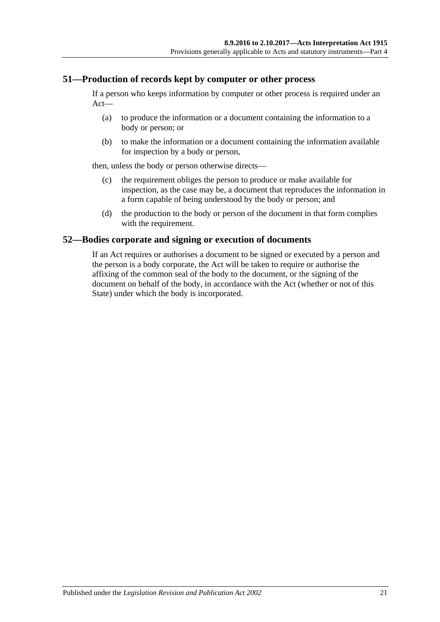#### <span id="page-20-0"></span>**51—Production of records kept by computer or other process**

If a person who keeps information by computer or other process is required under an Act—

- (a) to produce the information or a document containing the information to a body or person; or
- (b) to make the information or a document containing the information available for inspection by a body or person,

then, unless the body or person otherwise directs—

- (c) the requirement obliges the person to produce or make available for inspection, as the case may be, a document that reproduces the information in a form capable of being understood by the body or person; and
- (d) the production to the body or person of the document in that form complies with the requirement.

#### <span id="page-20-1"></span>**52—Bodies corporate and signing or execution of documents**

If an Act requires or authorises a document to be signed or executed by a person and the person is a body corporate, the Act will be taken to require or authorise the affixing of the common seal of the body to the document, or the signing of the document on behalf of the body, in accordance with the Act (whether or not of this State) under which the body is incorporated.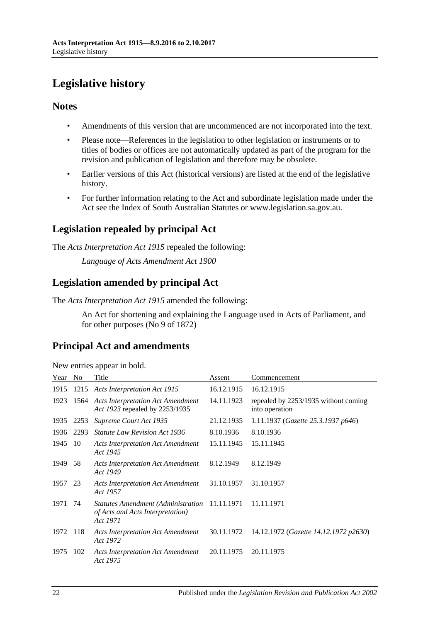## <span id="page-21-0"></span>**Legislative history**

### **Notes**

- Amendments of this version that are uncommenced are not incorporated into the text.
- Please note—References in the legislation to other legislation or instruments or to titles of bodies or offices are not automatically updated as part of the program for the revision and publication of legislation and therefore may be obsolete.
- Earlier versions of this Act (historical versions) are listed at the end of the legislative history.
- For further information relating to the Act and subordinate legislation made under the Act see the Index of South Australian Statutes or www.legislation.sa.gov.au.

## **Legislation repealed by principal Act**

The *Acts Interpretation Act 1915* repealed the following:

*Language of Acts Amendment Act 1900*

### **Legislation amended by principal Act**

The *Acts Interpretation Act 1915* amended the following:

An Act for shortening and explaining the Language used in Acts of Parliament, and for other purposes (No 9 of 1872)

### **Principal Act and amendments**

| Year    | N <sub>0</sub> | Title                                                                                         | Assent     | Commencement                                           |
|---------|----------------|-----------------------------------------------------------------------------------------------|------------|--------------------------------------------------------|
| 1915    |                | 1215 Acts Interpretation Act 1915                                                             | 16.12.1915 | 16.12.1915                                             |
| 1923    |                | 1564 Acts Interpretation Act Amendment<br>Act 1923 repealed by 2253/1935                      | 14.11.1923 | repealed by 2253/1935 without coming<br>into operation |
| 1935    | 2253           | Supreme Court Act 1935                                                                        | 21.12.1935 | 1.11.1937 (Gazette 25.3.1937 p646)                     |
| 1936    | 2293           | <b>Statute Law Revision Act 1936</b>                                                          | 8.10.1936  | 8.10.1936                                              |
| 1945    | 10             | <b>Acts Interpretation Act Amendment</b><br>Act 1945                                          | 15.11.1945 | 15.11.1945                                             |
| 1949    | 58             | <b>Acts Interpretation Act Amendment</b><br>Act 1949                                          | 8.12.1949  | 8.12.1949                                              |
| 1957 23 |                | <b>Acts Interpretation Act Amendment</b><br>Act 1957                                          | 31.10.1957 | 31.10.1957                                             |
| 1971    | -74            | Statutes Amendment (Administration 11.11.1971<br>of Acts and Acts Interpretation)<br>Act 1971 |            | 11.11.1971                                             |
| 1972    | 118            | <b>Acts Interpretation Act Amendment</b><br>Act 1972                                          | 30.11.1972 | 14.12.1972 (Gazette 14.12.1972 p2630)                  |
| 1975    | 102            | <b>Acts Interpretation Act Amendment</b><br>Act 1975                                          | 20.11.1975 | 20.11.1975                                             |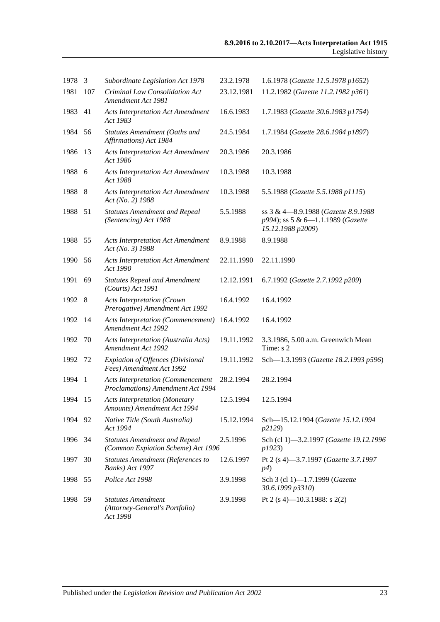| 1978    | 3              | Subordinate Legislation Act 1978                                              | 23.2.1978  | 1.6.1978 (Gazette 11.5.1978 p1652)                                                            |
|---------|----------------|-------------------------------------------------------------------------------|------------|-----------------------------------------------------------------------------------------------|
| 1981    | 107            | Criminal Law Consolidation Act<br>Amendment Act 1981                          | 23.12.1981 | 11.2.1982 (Gazette 11.2.1982 p361)                                                            |
| 1983    | 41             | <b>Acts Interpretation Act Amendment</b><br>Act 1983                          | 16.6.1983  | 1.7.1983 (Gazette 30.6.1983 p1754)                                                            |
| 1984    | 56             | Statutes Amendment (Oaths and<br>Affirmations) Act 1984                       | 24.5.1984  | 1.7.1984 (Gazette 28.6.1984 p1897)                                                            |
| 1986    | 13             | <b>Acts Interpretation Act Amendment</b><br>Act 1986                          | 20.3.1986  | 20.3.1986                                                                                     |
| 1988    | 6              | <b>Acts Interpretation Act Amendment</b><br>Act 1988                          | 10.3.1988  | 10.3.1988                                                                                     |
| 1988    | -8             | <b>Acts Interpretation Act Amendment</b><br>Act (No. 2) 1988                  | 10.3.1988  | 5.5.1988 (Gazette 5.5.1988 p1115)                                                             |
| 1988    | 51             | <b>Statutes Amendment and Repeal</b><br>(Sentencing) Act 1988                 | 5.5.1988   | ss 3 & 4-8.9.1988 (Gazette 8.9.1988<br>p994); ss 5 & 6-1.1.1989 (Gazette<br>15.12.1988 p2009) |
| 1988    | 55             | <b>Acts Interpretation Act Amendment</b><br>Act (No. 3) 1988                  | 8.9.1988   | 8.9.1988                                                                                      |
| 1990    | 56             | <b>Acts Interpretation Act Amendment</b><br>Act 1990                          | 22.11.1990 | 22.11.1990                                                                                    |
| 1991    | 69             | <b>Statutes Repeal and Amendment</b><br>(Courts) Act 1991                     | 12.12.1991 | 6.7.1992 (Gazette 2.7.1992 p209)                                                              |
| 1992    | - 8            | <b>Acts Interpretation (Crown</b><br>Prerogative) Amendment Act 1992          | 16.4.1992  | 16.4.1992                                                                                     |
| 1992    | 14             | <b>Acts Interpretation (Commencement)</b><br>Amendment Act 1992               | 16.4.1992  | 16.4.1992                                                                                     |
| 1992    | 70             | Acts Interpretation (Australia Acts)<br><b>Amendment Act 1992</b>             | 19.11.1992 | 3.3.1986, 5.00 a.m. Greenwich Mean<br>Time: s 2                                               |
| 1992    | 72             | Expiation of Offences (Divisional<br>Fees) Amendment Act 1992                 | 19.11.1992 | Sch-1.3.1993 (Gazette 18.2.1993 p596)                                                         |
| 1994    | $\overline{1}$ | <b>Acts Interpretation (Commencement</b><br>Proclamations) Amendment Act 1994 | 28.2.1994  | 28.2.1994                                                                                     |
| 1994    | 15             | <b>Acts Interpretation (Monetary</b><br>Amounts) Amendment Act 1994           | 12.5.1994  | 12.5.1994                                                                                     |
| 1994    | 92             | Native Title (South Australia)<br>Act 1994                                    | 15.12.1994 | Sch-15.12.1994 (Gazette 15.12.1994<br>p2129)                                                  |
| 1996 34 |                | <b>Statutes Amendment and Repeal</b><br>(Common Expiation Scheme) Act 1996    | 2.5.1996   | Sch (cl 1)-3.2.1997 (Gazette 19.12.1996<br>p1923)                                             |
| 1997    | 30             | <b>Statutes Amendment (References to</b><br>Banks) Act 1997                   | 12.6.1997  | Pt 2 (s 4)-3.7.1997 (Gazette 3.7.1997<br>p4)                                                  |
| 1998    | 55             | Police Act 1998                                                               | 3.9.1998   | Sch 3 (cl 1)-1.7.1999 (Gazette<br>30.6.1999 p3310)                                            |
| 1998    | 59             | <b>Statutes Amendment</b><br>(Attorney-General's Portfolio)<br>Act 1998       | 3.9.1998   | Pt 2 (s 4)–10.3.1988: s 2(2)                                                                  |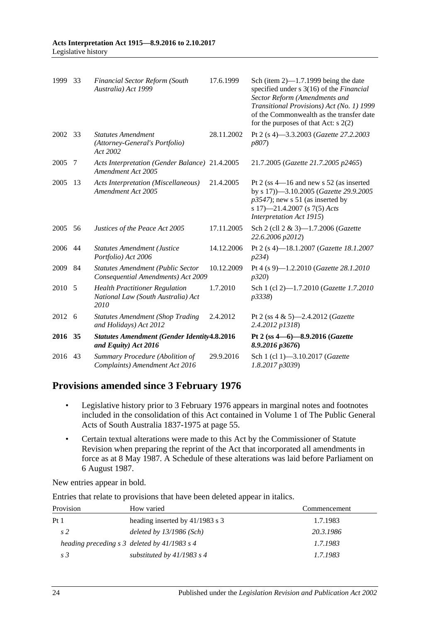| 1999    | 33 | <b>Financial Sector Reform (South</b><br>Australia) Act 1999                        | 17.6.1999  | Sch (item $2$ )—1.7.1999 being the date<br>specified under s 3(16) of the Financial<br>Sector Reform (Amendments and<br>Transitional Provisions) Act (No. 1) 1999<br>of the Commonwealth as the transfer date<br>for the purposes of that Act: $s$ 2(2) |
|---------|----|-------------------------------------------------------------------------------------|------------|---------------------------------------------------------------------------------------------------------------------------------------------------------------------------------------------------------------------------------------------------------|
| 2002 33 |    | <b>Statutes Amendment</b><br>(Attorney-General's Portfolio)<br>Act 2002             | 28.11.2002 | Pt 2 (s 4)-3.3.2003 (Gazette 27.2.2003<br><i>p807</i> )                                                                                                                                                                                                 |
| 2005    | 7  | Acts Interpretation (Gender Balance) 21.4.2005<br>Amendment Act 2005                |            | 21.7.2005 (Gazette 21.7.2005 p2465)                                                                                                                                                                                                                     |
| 2005    | 13 | <b>Acts Interpretation (Miscellaneous)</b><br>Amendment Act 2005                    | 21.4.2005  | Pt 2 (ss $4-16$ and new s 52 (as inserted<br>by s 17))-3.10.2005 (Gazette 29.9.2005<br>$p3547$ ; new s 51 (as inserted by<br>s 17)-21.4.2007 (s 7(5) Acts<br>Interpretation Act 1915)                                                                   |
| 2005    | 56 | Justices of the Peace Act 2005                                                      | 17.11.2005 | Sch 2 (cll 2 & 3)-1.7.2006 (Gazette<br>22.6.2006 p2012)                                                                                                                                                                                                 |
| 2006    | 44 | <b>Statutes Amendment (Justice</b><br>Portfolio) Act 2006                           | 14.12.2006 | Pt 2 (s 4)-18.1.2007 (Gazette 18.1.2007<br>p234)                                                                                                                                                                                                        |
| 2009    | 84 | <b>Statutes Amendment (Public Sector</b><br>Consequential Amendments) Act 2009      | 10.12.2009 | Pt 4 (s 9)-1.2.2010 (Gazette 28.1.2010<br>p320                                                                                                                                                                                                          |
| 2010    | 5  | <b>Health Practitioner Regulation</b><br>National Law (South Australia) Act<br>2010 | 1.7.2010   | Sch 1 (cl 2)-1.7.2010 (Gazette 1.7.2010<br>p3338)                                                                                                                                                                                                       |
| 2012 6  |    | <b>Statutes Amendment (Shop Trading</b><br>and Holidays) Act 2012                   | 2.4.2012   | Pt 2 (ss 4 & 5)-2.4.2012 (Gazette<br>2.4.2012 p1318)                                                                                                                                                                                                    |
| 2016 35 |    | <b>Statutes Amendment (Gender Identity 4.8.2016</b><br>and Equity) Act 2016         |            | Pt 2 (ss 4-6)-8.9.2016 (Gazette<br>8.9.2016 p3676)                                                                                                                                                                                                      |
| 2016    | 43 | Summary Procedure (Abolition of<br>Complaints) Amendment Act 2016                   | 29.9.2016  | Sch 1 (cl 1)-3.10.2017 (Gazette<br>1.8.2017 p3039)                                                                                                                                                                                                      |

### **Provisions amended since 3 February 1976**

- Legislative history prior to 3 February 1976 appears in marginal notes and footnotes included in the consolidation of this Act contained in Volume 1 of The Public General Acts of South Australia 1837-1975 at page 55.
- Certain textual alterations were made to this Act by the Commissioner of Statute Revision when preparing the reprint of the Act that incorporated all amendments in force as at 8 May 1987. A Schedule of these alterations was laid before Parliament on 6 August 1987.

New entries appear in bold.

Entries that relate to provisions that have been deleted appear in italics.

| Provision       | How varied                                        | Commencement |
|-----------------|---------------------------------------------------|--------------|
| Pt <sub>1</sub> | heading inserted by $41/1983$ s 3                 | 1.7.1983     |
| s <sub>2</sub>  | deleted by $13/1986$ (Sch)                        | 20.3.1986    |
|                 | heading preceding $s \, 3$ deleted by 41/1983 s 4 | 1.7.1983     |
| s <sub>3</sub>  | substituted by $41/1983$ s 4                      | 1.7.1983     |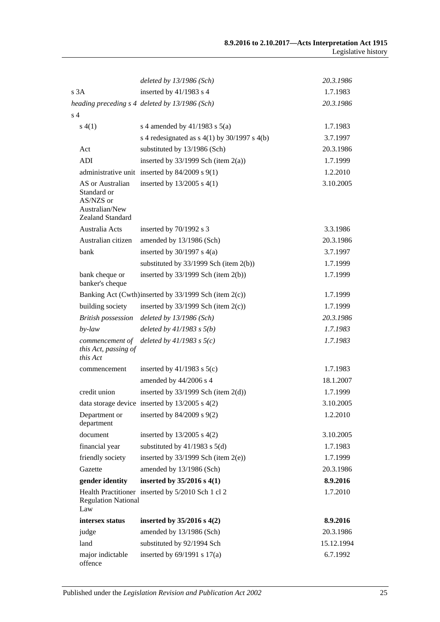|                                                                                    | deleted by 13/1986 (Sch)                              | 20.3.1986  |
|------------------------------------------------------------------------------------|-------------------------------------------------------|------------|
| s 3A                                                                               | inserted by 41/1983 s 4                               | 1.7.1983   |
|                                                                                    | heading preceding s 4 deleted by 13/1986 (Sch)        | 20.3.1986  |
| s <sub>4</sub>                                                                     |                                                       |            |
| s(4(1))                                                                            | s 4 amended by $41/1983$ s $5(a)$                     | 1.7.1983   |
|                                                                                    | s 4 redesignated as $s$ 4(1) by 30/1997 s 4(b)        | 3.7.1997   |
| Act                                                                                | substituted by 13/1986 (Sch)                          | 20.3.1986  |
| ADI                                                                                | inserted by $33/1999$ Sch (item $2(a)$ )              | 1.7.1999   |
|                                                                                    | administrative unit inserted by $84/2009$ s $9(1)$    | 1.2.2010   |
| AS or Australian<br>Standard or<br>AS/NZS or<br>Australian/New<br>Zealand Standard | inserted by $13/2005$ s $4(1)$                        | 3.10.2005  |
| Australia Acts                                                                     | inserted by $70/1992$ s 3                             | 3.3.1986   |
| Australian citizen                                                                 | amended by 13/1986 (Sch)                              | 20.3.1986  |
| bank                                                                               | inserted by $30/1997$ s $4(a)$                        | 3.7.1997   |
|                                                                                    | substituted by $33/1999$ Sch (item 2(b))              | 1.7.1999   |
| bank cheque or<br>banker's cheque                                                  | inserted by $33/1999$ Sch (item $2(b)$ )              | 1.7.1999   |
|                                                                                    | Banking Act (Cwth)inserted by 33/1999 Sch (item 2(c)) | 1.7.1999   |
| building society                                                                   | inserted by $33/1999$ Sch (item $2(c)$ )              | 1.7.1999   |
| <b>British possession</b>                                                          | deleted by $13/1986$ (Sch)                            | 20.3.1986  |
| $by$ -law                                                                          | deleted by $41/1983$ s $5(b)$                         | 1.7.1983   |
| commencement of<br>this Act, passing of<br>this Act                                | deleted by $41/1983$ s $5(c)$                         | 1.7.1983   |
| commencement                                                                       | inserted by $41/1983$ s $5(c)$                        | 1.7.1983   |
|                                                                                    | amended by 44/2006 s 4                                | 18.1.2007  |
| credit union                                                                       | inserted by $33/1999$ Sch (item $2(d)$ )              | 1.7.1999   |
|                                                                                    | data storage device inserted by $13/2005$ s $4(2)$    | 3.10.2005  |
| Department or<br>department                                                        | inserted by $84/2009$ s $9(2)$                        | 1.2.2010   |
| document                                                                           | inserted by $13/2005$ s $4(2)$                        | 3.10.2005  |
| financial year                                                                     | substituted by $41/1983$ s $5(d)$                     | 1.7.1983   |
| friendly society                                                                   | inserted by $33/1999$ Sch (item $2(e)$ )              | 1.7.1999   |
| Gazette                                                                            | amended by 13/1986 (Sch)                              | 20.3.1986  |
| gender identity                                                                    | inserted by $35/2016$ s $4(1)$                        | 8.9.2016   |
| <b>Regulation National</b><br>Law                                                  | Health Practitioner inserted by 5/2010 Sch 1 cl 2     | 1.7.2010   |
| intersex status                                                                    | inserted by $35/2016$ s $4(2)$                        | 8.9.2016   |
| judge                                                                              | amended by 13/1986 (Sch)                              | 20.3.1986  |
| land                                                                               | substituted by 92/1994 Sch                            | 15.12.1994 |
| major indictable<br>offence                                                        | inserted by $69/1991$ s $17(a)$                       | 6.7.1992   |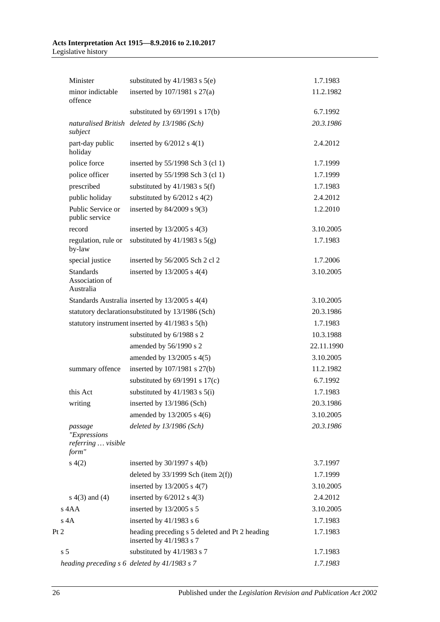#### **Acts Interpretation Act 1915—8.9.2016 to 2.10.2017** Legislative history

|      | Minister                                               | substituted by $41/1983$ s $5(e)$                                           | 1.7.1983   |
|------|--------------------------------------------------------|-----------------------------------------------------------------------------|------------|
|      | minor indictable<br>offence                            | inserted by $107/1981$ s $27(a)$                                            | 11.2.1982  |
|      |                                                        | substituted by $69/1991$ s $17(b)$                                          | 6.7.1992   |
|      | subject                                                | naturalised British deleted by 13/1986 (Sch)                                | 20.3.1986  |
|      | part-day public<br>holiday                             | inserted by $6/2012$ s $4(1)$                                               | 2.4.2012   |
|      | police force                                           | inserted by 55/1998 Sch 3 (cl 1)                                            | 1.7.1999   |
|      | police officer                                         | inserted by 55/1998 Sch 3 (cl 1)                                            | 1.7.1999   |
|      | prescribed                                             | substituted by $41/1983$ s $5(f)$                                           | 1.7.1983   |
|      | public holiday                                         | substituted by $6/2012$ s $4(2)$                                            | 2.4.2012   |
|      | Public Service or<br>public service                    | inserted by $84/2009$ s $9(3)$                                              | 1.2.2010   |
|      | record                                                 | inserted by $13/2005$ s $4(3)$                                              | 3.10.2005  |
|      | regulation, rule or<br>by-law                          | substituted by $41/1983$ s $5(g)$                                           | 1.7.1983   |
|      | special justice                                        | inserted by 56/2005 Sch 2 cl 2                                              | 1.7.2006   |
|      | <b>Standards</b><br>Association of<br>Australia        | inserted by $13/2005$ s $4(4)$                                              | 3.10.2005  |
|      |                                                        | Standards Australia inserted by 13/2005 s 4(4)                              | 3.10.2005  |
|      |                                                        | statutory declarationsubstituted by 13/1986 (Sch)                           | 20.3.1986  |
|      |                                                        | statutory instrument inserted by 41/1983 s 5(h)                             | 1.7.1983   |
|      |                                                        | substituted by 6/1988 s 2                                                   | 10.3.1988  |
|      |                                                        | amended by 56/1990 s 2                                                      | 22.11.1990 |
|      |                                                        | amended by 13/2005 s 4(5)                                                   | 3.10.2005  |
|      | summary offence                                        | inserted by $107/1981$ s $27(b)$                                            | 11.2.1982  |
|      |                                                        | substituted by $69/1991$ s $17(c)$                                          | 6.7.1992   |
|      | this Act                                               | substituted by $41/1983$ s $5(i)$                                           | 1.7.1983   |
|      | writing                                                | inserted by $13/1986$ (Sch)                                                 | 20.3.1986  |
|      |                                                        | amended by 13/2005 s 4(6)                                                   | 3.10.2005  |
|      | passage<br>"Expressions<br>referring  visible<br>form" | deleted by 13/1986 (Sch)                                                    | 20.3.1986  |
|      | s(4(2)                                                 | inserted by $30/1997$ s $4(b)$                                              | 3.7.1997   |
|      |                                                        | deleted by $33/1999$ Sch (item $2(f)$ )                                     | 1.7.1999   |
|      |                                                        | inserted by $13/2005$ s $4(7)$                                              | 3.10.2005  |
|      | $s(4(3)$ and $(4)$                                     | inserted by $6/2012$ s $4(3)$                                               | 2.4.2012   |
|      | s 4AA                                                  | inserted by 13/2005 s 5                                                     | 3.10.2005  |
|      | $s$ 4 $A$                                              | inserted by $41/1983$ s 6                                                   | 1.7.1983   |
| Pt 2 |                                                        | heading preceding s 5 deleted and Pt 2 heading<br>inserted by $41/1983$ s 7 | 1.7.1983   |
|      | s <sub>5</sub>                                         | substituted by 41/1983 s 7                                                  | 1.7.1983   |
|      |                                                        | heading preceding s 6 deleted by 41/1983 s 7                                | 1.7.1983   |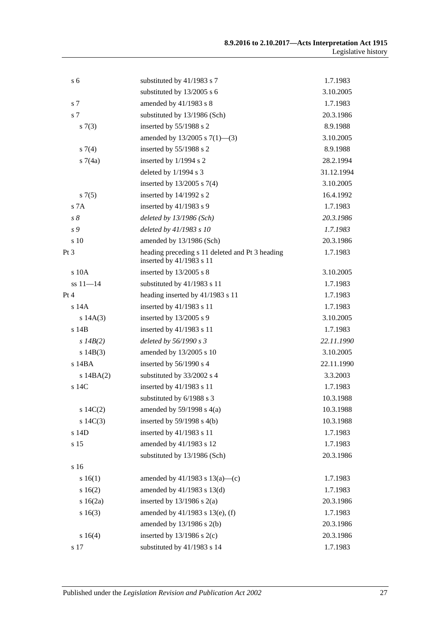| s <sub>6</sub>  | substituted by 41/1983 s 7                                                  | 1.7.1983   |
|-----------------|-----------------------------------------------------------------------------|------------|
|                 | substituted by 13/2005 s 6                                                  | 3.10.2005  |
| s 7             | amended by 41/1983 s 8                                                      | 1.7.1983   |
| s 7             | substituted by 13/1986 (Sch)                                                | 20.3.1986  |
| s(7(3))         | inserted by 55/1988 s 2                                                     | 8.9.1988   |
|                 | amended by $13/2005$ s $7(1)$ —(3)                                          | 3.10.2005  |
| $s \, 7(4)$     | inserted by 55/1988 s 2                                                     | 8.9.1988   |
| s7(4a)          | inserted by 1/1994 s 2                                                      | 28.2.1994  |
|                 | deleted by 1/1994 s 3                                                       | 31.12.1994 |
|                 | inserted by $13/2005$ s 7(4)                                                | 3.10.2005  |
| s(7(5)          | inserted by 14/1992 s 2                                                     | 16.4.1992  |
| S <sub>7A</sub> | inserted by $41/1983$ s 9                                                   | 1.7.1983   |
| $s\,\delta$     | deleted by $13/1986$ (Sch)                                                  | 20.3.1986  |
| s 9             | deleted by 41/1983 s 10                                                     | 1.7.1983   |
| s 10            | amended by 13/1986 (Sch)                                                    | 20.3.1986  |
| Pt 3            | heading preceding s 11 deleted and Pt 3 heading<br>inserted by 41/1983 s 11 | 1.7.1983   |
| s 10A           | inserted by $13/2005$ s 8                                                   | 3.10.2005  |
| $ss 11 - 14$    | substituted by 41/1983 s 11                                                 | 1.7.1983   |
| Pt 4            | heading inserted by 41/1983 s 11                                            | 1.7.1983   |
| $s$ 14 $A$      | inserted by 41/1983 s 11                                                    | 1.7.1983   |
| s 14A(3)        | inserted by $13/2005$ s 9                                                   | 3.10.2005  |
| $s$ 14 $B$      | inserted by 41/1983 s 11                                                    | 1.7.1983   |
| $s$ 14B(2)      | deleted by 56/1990 s 3                                                      | 22.11.1990 |
| s $14B(3)$      | amended by 13/2005 s 10                                                     | 3.10.2005  |
| s 14BA          | inserted by 56/1990 s 4                                                     | 22.11.1990 |
| $s$ 14BA $(2)$  | substituted by 33/2002 s 4                                                  | 3.3.2003   |
| s 14C           | inserted by 41/1983 s 11                                                    | 1.7.1983   |
|                 | substituted by 6/1988 s 3                                                   | 10.3.1988  |
| s $14C(2)$      | amended by $59/1998$ s $4(a)$                                               | 10.3.1988  |
| $s\ 14C(3)$     | inserted by $59/1998$ s $4(b)$                                              | 10.3.1988  |
| s 14D           | inserted by 41/1983 s 11                                                    | 1.7.1983   |
| s 15            | amended by 41/1983 s 12                                                     | 1.7.1983   |
|                 | substituted by 13/1986 (Sch)                                                | 20.3.1986  |
| s 16            |                                                                             |            |
| s 16(1)         | amended by $41/1983$ s $13(a)$ —(c)                                         | 1.7.1983   |
| s16(2)          | amended by $41/1983$ s $13(d)$                                              | 1.7.1983   |
| s 16(2a)        | inserted by $13/1986$ s $2(a)$                                              | 20.3.1986  |
| s16(3)          | amended by 41/1983 s 13(e), (f)                                             | 1.7.1983   |
|                 | amended by $13/1986$ s $2(b)$                                               | 20.3.1986  |
| s 16(4)         | inserted by $13/1986$ s $2(c)$                                              | 20.3.1986  |
| s 17            | substituted by 41/1983 s 14                                                 | 1.7.1983   |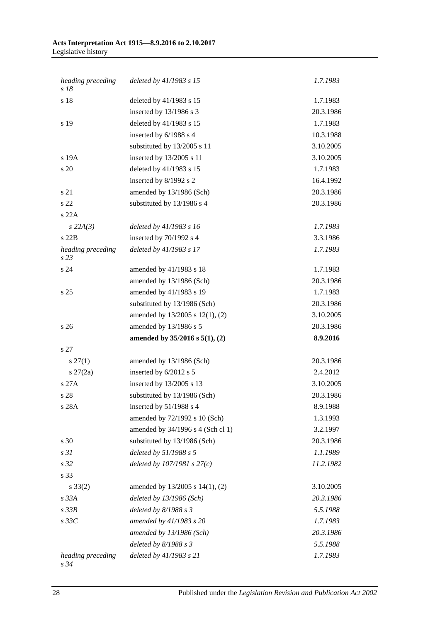#### **Acts Interpretation Act 1915—8.9.2016 to 2.10.2017** Legislative history

| heading preceding<br>s18  | deleted by 41/1983 s 15           | 1.7.1983  |
|---------------------------|-----------------------------------|-----------|
| s 18                      | deleted by 41/1983 s 15           | 1.7.1983  |
|                           | inserted by 13/1986 s 3           | 20.3.1986 |
| s 19                      | deleted by 41/1983 s 15           | 1.7.1983  |
|                           | inserted by 6/1988 s 4            | 10.3.1988 |
|                           | substituted by 13/2005 s 11       | 3.10.2005 |
| s 19A                     | inserted by 13/2005 s 11          | 3.10.2005 |
| s 20                      | deleted by 41/1983 s 15           | 1.7.1983  |
|                           | inserted by 8/1992 s 2            | 16.4.1992 |
| s 21                      | amended by 13/1986 (Sch)          | 20.3.1986 |
| s 22                      | substituted by 13/1986 s 4        | 20.3.1986 |
| s 22A                     |                                   |           |
| $s\,22A(3)$               | deleted by 41/1983 s 16           | 1.7.1983  |
| s22B                      | inserted by 70/1992 s 4           | 3.3.1986  |
| heading preceding<br>s23  | deleted by 41/1983 s 17           | 1.7.1983  |
| s 24                      | amended by 41/1983 s 18           | 1.7.1983  |
|                           | amended by 13/1986 (Sch)          | 20.3.1986 |
| s <sub>25</sub>           | amended by 41/1983 s 19           | 1.7.1983  |
|                           | substituted by 13/1986 (Sch)      | 20.3.1986 |
|                           | amended by 13/2005 s 12(1), (2)   | 3.10.2005 |
| s <sub>26</sub>           | amended by 13/1986 s 5            | 20.3.1986 |
|                           | amended by 35/2016 s 5(1), (2)    | 8.9.2016  |
| s 27                      |                                   |           |
| $s \, 27(1)$              | amended by 13/1986 (Sch)          | 20.3.1986 |
| $s \, 27(2a)$             | inserted by 6/2012 s 5            | 2.4.2012  |
| s 27A                     | inserted by 13/2005 s 13          | 3.10.2005 |
| s 28                      | substituted by 13/1986 (Sch)      | 20.3.1986 |
| s 28A                     | inserted by $51/1988$ s 4         | 8.9.1988  |
|                           | amended by 72/1992 s 10 (Sch)     | 1.3.1993  |
|                           | amended by 34/1996 s 4 (Sch cl 1) | 3.2.1997  |
| s 30                      | substituted by 13/1986 (Sch)      | 20.3.1986 |
| s <sub>31</sub>           | deleted by 51/1988 s 5            | 1.1.1989  |
| s <sub>32</sub>           | deleted by $107/1981 s 27(c)$     | 11.2.1982 |
| s 33                      |                                   |           |
| $s \, 33(2)$              | amended by 13/2005 s 14(1), (2)   | 3.10.2005 |
| $s$ 33 $A$                | deleted by $13/1986$ (Sch)        | 20.3.1986 |
| $s\,33B$                  | deleted by 8/1988 s 3             | 5.5.1988  |
| $s\,33C$                  | amended by 41/1983 s 20           | 1.7.1983  |
|                           | amended by $13/1986$ (Sch)        | 20.3.1986 |
|                           | deleted by $8/1988 s 3$           | 5.5.1988  |
| heading preceding<br>s 34 | deleted by 41/1983 s 21           | 1.7.1983  |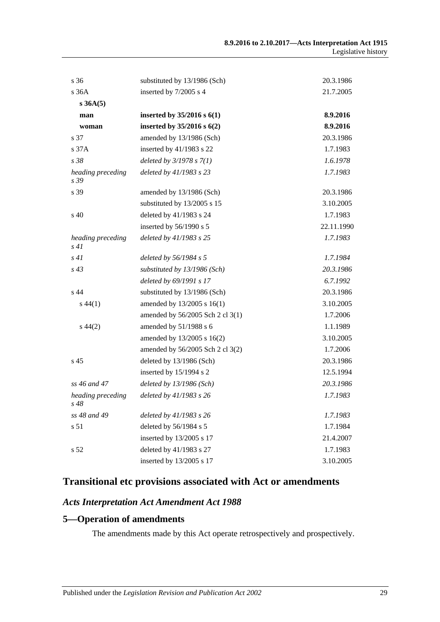| s 36                      | substituted by 13/1986 (Sch)     | 20.3.1986  |
|---------------------------|----------------------------------|------------|
| s 36A                     | inserted by 7/2005 s 4           | 21.7.2005  |
| s 36A(5)                  |                                  |            |
| man                       | inserted by $35/2016$ s $6(1)$   | 8.9.2016   |
| woman                     | inserted by $35/2016$ s $6(2)$   | 8.9.2016   |
| s 37                      | amended by 13/1986 (Sch)         | 20.3.1986  |
| s <sub>37A</sub>          | inserted by 41/1983 s 22         | 1.7.1983   |
| s38                       | deleted by $3/1978 s 7(1)$       | 1.6.1978   |
| heading preceding<br>s 39 | deleted by 41/1983 s 23          | 1.7.1983   |
| s 39                      | amended by 13/1986 (Sch)         | 20.3.1986  |
|                           | substituted by 13/2005 s 15      | 3.10.2005  |
| s 40                      | deleted by 41/1983 s 24          | 1.7.1983   |
|                           | inserted by 56/1990 s 5          | 22.11.1990 |
| heading preceding<br>s 41 | deleted by 41/1983 s 25          | 1.7.1983   |
| s41                       | deleted by 56/1984 s 5           | 1.7.1984   |
| $s\,43$                   | substituted by 13/1986 (Sch)     | 20.3.1986  |
|                           | deleted by 69/1991 s 17          | 6.7.1992   |
| s 44                      | substituted by 13/1986 (Sch)     | 20.3.1986  |
| $s\,44(1)$                | amended by 13/2005 s 16(1)       | 3.10.2005  |
|                           | amended by 56/2005 Sch 2 cl 3(1) | 1.7.2006   |
| $s\,44(2)$                | amended by 51/1988 s 6           | 1.1.1989   |
|                           | amended by 13/2005 s 16(2)       | 3.10.2005  |
|                           | amended by 56/2005 Sch 2 cl 3(2) | 1.7.2006   |
| s <sub>45</sub>           | deleted by 13/1986 (Sch)         | 20.3.1986  |
|                           | inserted by 15/1994 s 2          | 12.5.1994  |
| ss 46 and 47              | deleted by 13/1986 (Sch)         | 20.3.1986  |
| heading preceding<br>s 48 | deleted by 41/1983 s 26          | 1.7.1983   |
| ss 48 and 49              | deleted by 41/1983 s 26          | 1.7.1983   |
| s 51                      | deleted by 56/1984 s 5           | 1.7.1984   |
|                           | inserted by 13/2005 s 17         | 21.4.2007  |
| s 52                      | deleted by 41/1983 s 27          | 1.7.1983   |
|                           | inserted by 13/2005 s 17         | 3.10.2005  |

## **Transitional etc provisions associated with Act or amendments**

#### *Acts Interpretation Act Amendment Act 1988*

#### **5—Operation of amendments**

The amendments made by this Act operate retrospectively and prospectively.